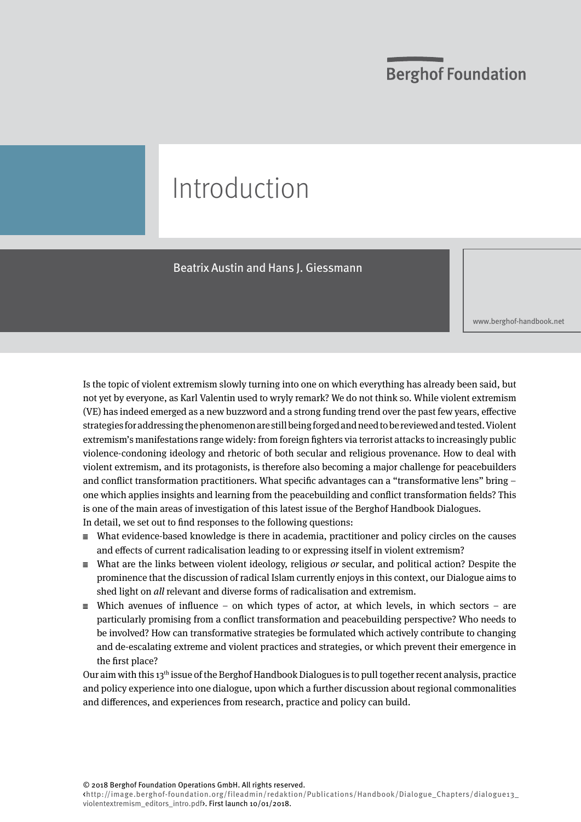# **Berghof Foundation**

# Introduction

Beatrix Austin and Hans J. Giessmann

<www.berghof-handbook.net>

Is the topic of violent extremism slowly turning into one on which everything has already been said, but not yet by everyone, as Karl Valentin used to wryly remark? We do not think so. While violent extremism (VE) has indeed emerged as a new buzzword and a strong funding trend over the past few years, effective strategies for addressing the phenomenon are still being forged and need to be reviewed and tested. Violent extremism's manifestations range widely: from foreign fighters via terrorist attacks to increasingly public violence-condoning ideology and rhetoric of both secular and religious provenance. How to deal with violent extremism, and its protagonists, is therefore also becoming a major challenge for peacebuilders and conflict transformation practitioners. What specific advantages can a "transformative lens" bring – one which applies insights and learning from the peacebuilding and conflict transformation fields? This is one of the main areas of investigation of this latest issue of the Berghof Handbook Dialogues. In detail, we set out to find responses to the following questions:

- $\equiv$  What evidence-based knowledge is there in academia, practitioner and policy circles on the causes and effects of current radicalisation leading to or expressing itself in violent extremism?
- $\equiv$  What are the links between violent ideology, religious *or* secular, and political action? Despite the prominence that the discussion of radical Islam currently enjoys in this context, our Dialogue aims to shed light on all relevant and diverse forms of radicalisation and extremism.
- $\equiv$  Which avenues of influence on which types of actor, at which levels, in which sectors are particularly promising from a conflict transformation and peacebuilding perspective? Who needs to be involved? How can transformative strategies be formulated which actively contribute to changing and de-escalating extreme and violent practices and strategies, or which prevent their emergence in the first place?

Our aim with this 13th issue of the Berghof Handbook Dialogues is to pull together recent analysis, practice and policy experience into one dialogue, upon which a further discussion about regional commonalities and differences, and experiences from research, practice and policy can build.

© 2018 Berghof Foundation Operations GmbH. All rights reserved.

<http://image.berghof-foundation.org/fileadmin/redaktion/Publications/Handbook/Dialogue\_Chapters/dialogue13\_ violentextremism\_editors\_intro.pdf>. First launch 10/01/2018.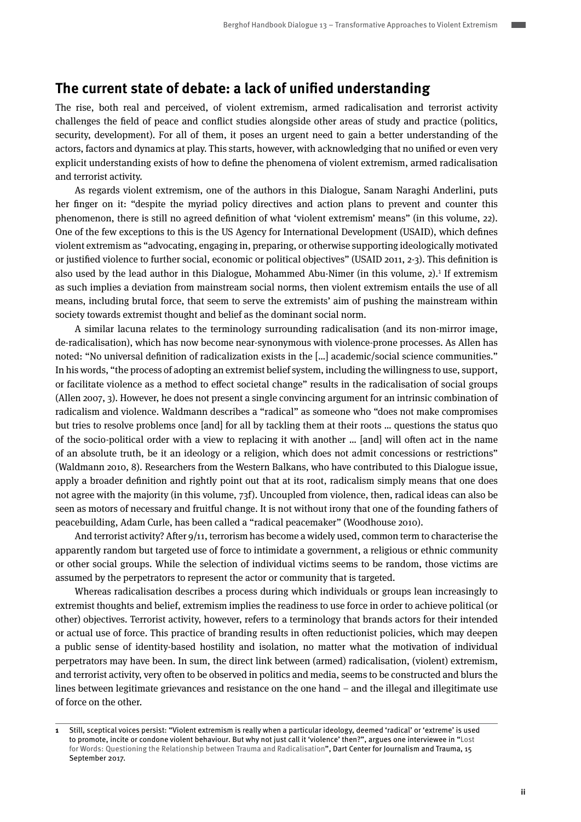#### **The current state of debate: a lack of unified understanding**

The rise, both real and perceived, of violent extremism, armed radicalisation and terrorist activity challenges the field of peace and conflict studies alongside other areas of study and practice (politics, security, development). For all of them, it poses an urgent need to gain a better understanding of the actors, factors and dynamics at play. This starts, however, with acknowledging that no unified or even very explicit understanding exists of how to define the phenomena of violent extremism, armed radicalisation and terrorist activity.

As regards violent extremism, one of the authors in this Dialogue, Sanam Naraghi Anderlini, puts her finger on it: "despite the myriad policy directives and action plans to prevent and counter this phenomenon, there is still no agreed definition of what 'violent extremism' means" (in this volume, 22). One of the few exceptions to this is the US Agency for International Development (USAID), which defines violent extremism as "advocating, engaging in, preparing, or otherwise supporting ideologically motivated or justified violence to further social, economic or political objectives" (USAID 2011, 2-3). This definition is also used by the lead author in this Dialogue, Mohammed Abu-Nimer (in this volume, 2).<sup>1</sup> If extremism as such implies a deviation from mainstream social norms, then violent extremism entails the use of all means, including brutal force, that seem to serve the extremists' aim of pushing the mainstream within society towards extremist thought and belief as the dominant social norm.

A similar lacuna relates to the terminology surrounding radicalisation (and its non-mirror image, de-radicalisation), which has now become near-synonymous with violence-prone processes. As Allen has noted: "No universal definition of radicalization exists in the […] academic/social science communities." In his words, "the process of adopting an extremist belief system, including the willingness to use, support, or facilitate violence as a method to effect societal change" results in the radicalisation of social groups (Allen 2007, 3). However, he does not present a single convincing argument for an intrinsic combination of radicalism and violence. Waldmann describes a "radical" as someone who "does not make compromises but tries to resolve problems once [and] for all by tackling them at their roots … questions the status quo of the socio-political order with a view to replacing it with another … [and] will often act in the name of an absolute truth, be it an ideology or a religion, which does not admit concessions or restrictions" (Waldmann 2010, 8). Researchers from the Western Balkans, who have contributed to this Dialogue issue, apply a broader definition and rightly point out that at its root, radicalism simply means that one does not agree with the majority (in this volume, 73f). Uncoupled from violence, then, radical ideas can also be seen as motors of necessary and fruitful change. It is not without irony that one of the founding fathers of peacebuilding, Adam Curle, has been called a "radical peacemaker" (Woodhouse 2010).

And terrorist activity? After 9/11, terrorism has become a widely used, common term to characterise the apparently random but targeted use of force to intimidate a government, a religious or ethnic community or other social groups. While the selection of individual victims seems to be random, those victims are assumed by the perpetrators to represent the actor or community that is targeted.

Whereas radicalisation describes a process during which individuals or groups lean increasingly to extremist thoughts and belief, extremism implies the readiness to use force in order to achieve political (or other) objectives. Terrorist activity, however, refers to a terminology that brands actors for their intended or actual use of force. This practice of branding results in often reductionist policies, which may deepen a public sense of identity-based hostility and isolation, no matter what the motivation of individual perpetrators may have been. In sum, the direct link between (armed) radicalisation, (violent) extremism, and terrorist activity, very often to be observed in politics and media, seems to be constructed and blurs the lines between legitimate grievances and resistance on the one hand – and the illegal and illegitimate use of force on the other.

**<sup>1</sup>** Still, sceptical voices persist: "Violent extremism is really when a particular ideology, deemed 'radical' or 'extreme' is used to promote, incite or condone violent behaviour. But why not just call it 'violence' then?", argues one interviewee in "Lost for Words: Questioning the Relationship between Trauma and Radicalisation", Dart Center for Journalism and Trauma, 15 September 2017.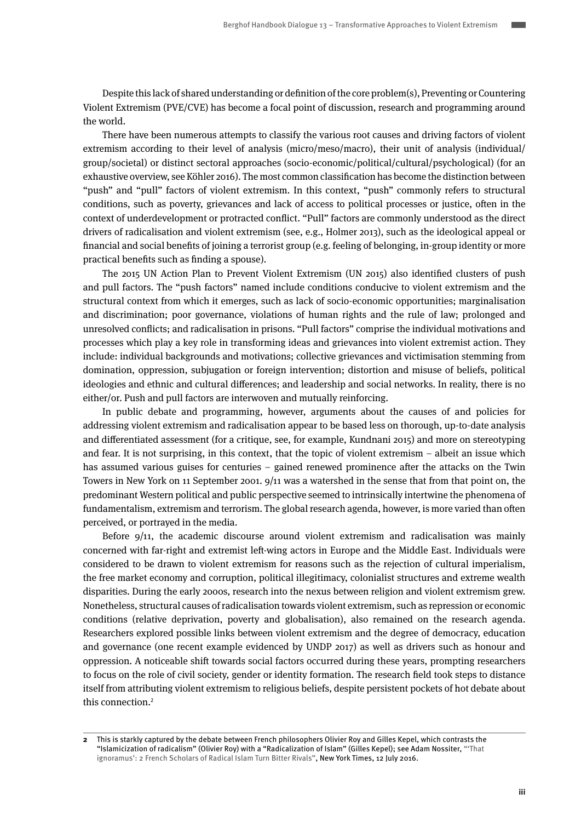Despite this lack of shared understanding or definition of the core problem(s), Preventing or Countering Violent Extremism (PVE/CVE) has become a focal point of discussion, research and programming around the world.

There have been numerous attempts to classify the various root causes and driving factors of violent extremism according to their level of analysis (micro/meso/macro), their unit of analysis (individual/ group/societal) or distinct sectoral approaches (socio-economic/political/cultural/psychological) (for an exhaustive overview, see Köhler 2016). The most common classification has become the distinction between "push" and "pull" factors of violent extremism. In this context, "push" commonly refers to structural conditions, such as poverty, grievances and lack of access to political processes or justice, often in the context of underdevelopment or protracted conflict. "Pull" factors are commonly understood as the direct drivers of radicalisation and violent extremism (see, e.g., Holmer 2013), such as the ideological appeal or financial and social benefits of joining a terrorist group (e.g. feeling of belonging, in-group identity or more practical benefits such as finding a spouse).

The 2015 UN Action Plan to Prevent Violent Extremism (UN 2015) also identified clusters of push and pull factors. The "push factors" named include conditions conducive to violent extremism and the structural context from which it emerges, such as lack of socio-economic opportunities; marginalisation and discrimination; poor governance, violations of human rights and the rule of law; prolonged and unresolved conflicts; and radicalisation in prisons. "Pull factors" comprise the individual motivations and processes which play a key role in transforming ideas and grievances into violent extremist action. They include: individual backgrounds and motivations; collective grievances and victimisation stemming from domination, oppression, subjugation or foreign intervention; distortion and misuse of beliefs, political ideologies and ethnic and cultural differences; and leadership and social networks. In reality, there is no either/or. Push and pull factors are interwoven and mutually reinforcing.

In public debate and programming, however, arguments about the causes of and policies for addressing violent extremism and radicalisation appear to be based less on thorough, up-to-date analysis and differentiated assessment (for a critique, see, for example, Kundnani 2015) and more on stereotyping and fear. It is not surprising, in this context, that the topic of violent extremism – albeit an issue which has assumed various guises for centuries – gained renewed prominence after the attacks on the Twin Towers in New York on 11 September 2001. 9/11 was a watershed in the sense that from that point on, the predominant Western political and public perspective seemed to intrinsically intertwine the phenomena of fundamentalism, extremism and terrorism. The global research agenda, however, is more varied than often perceived, or portrayed in the media.

Before 9/11, the academic discourse around violent extremism and radicalisation was mainly concerned with far-right and extremist left-wing actors in Europe and the Middle East. Individuals were considered to be drawn to violent extremism for reasons such as the rejection of cultural imperialism, the free market economy and corruption, political illegitimacy, colonialist structures and extreme wealth disparities. During the early 2000s, research into the nexus between religion and violent extremism grew. Nonetheless, structural causes of radicalisation towards violent extremism, such as repression or economic conditions (relative deprivation, poverty and globalisation), also remained on the research agenda. Researchers explored possible links between violent extremism and the degree of democracy, education and governance (one recent example evidenced by UNDP 2017) as well as drivers such as honour and oppression. A noticeable shift towards social factors occurred during these years, prompting researchers to focus on the role of civil society, gender or identity formation. The research field took steps to distance itself from attributing violent extremism to religious beliefs, despite persistent pockets of hot debate about this connection.<sup>2</sup>

**<sup>2</sup>** This is starkly captured by the debate between French philosophers Olivier Roy and Gilles Kepel, which contrasts the "Islamicization of radicalism" (Olivier Roy) with a "Radicalization of Islam" (Gilles Kepel); see Adam Nossiter, "'That ignoramus': 2 French Scholars of Radical Islam Turn Bitter Rivals", New York Times, 12 July 2016.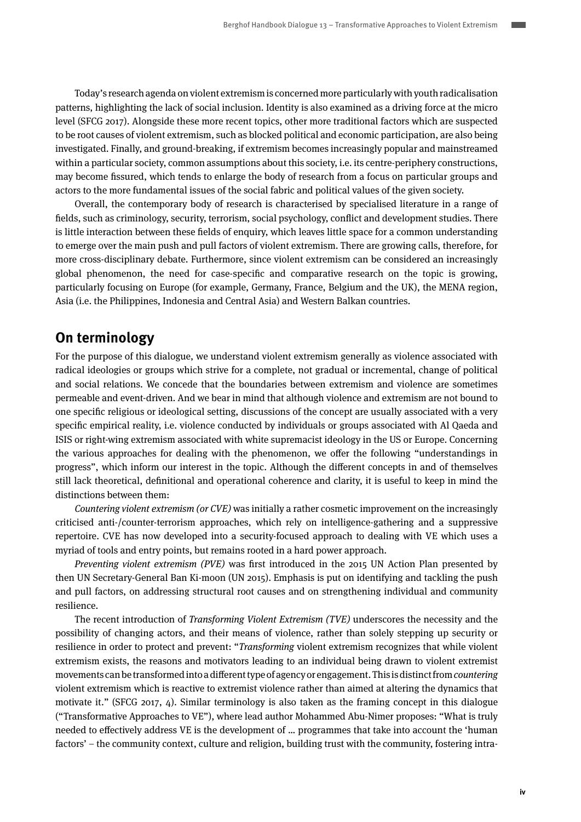Today's research agenda on violent extremism is concerned more particularly with youth radicalisation patterns, highlighting the lack of social inclusion. Identity is also examined as a driving force at the micro level (SFCG 2017). Alongside these more recent topics, other more traditional factors which are suspected to be root causes of violent extremism, such as blocked political and economic participation, are also being investigated. Finally, and ground-breaking, if extremism becomes increasingly popular and mainstreamed within a particular society, common assumptions about this society, i.e. its centre-periphery constructions, may become fissured, which tends to enlarge the body of research from a focus on particular groups and actors to the more fundamental issues of the social fabric and political values of the given society.

Overall, the contemporary body of research is characterised by specialised literature in a range of fields, such as criminology, security, terrorism, social psychology, conflict and development studies. There is little interaction between these fields of enquiry, which leaves little space for a common understanding to emerge over the main push and pull factors of violent extremism. There are growing calls, therefore, for more cross-disciplinary debate. Furthermore, since violent extremism can be considered an increasingly global phenomenon, the need for case-specific and comparative research on the topic is growing, particularly focusing on Europe (for example, Germany, France, Belgium and the UK), the MENA region, Asia (i.e. the Philippines, Indonesia and Central Asia) and Western Balkan countries.

### **On terminology**

For the purpose of this dialogue, we understand violent extremism generally as violence associated with radical ideologies or groups which strive for a complete, not gradual or incremental, change of political and social relations. We concede that the boundaries between extremism and violence are sometimes permeable and event-driven. And we bear in mind that although violence and extremism are not bound to one specific religious or ideological setting, discussions of the concept are usually associated with a very specific empirical reality, i.e. violence conducted by individuals or groups associated with Al Qaeda and ISIS or right-wing extremism associated with white supremacist ideology in the US or Europe. Concerning the various approaches for dealing with the phenomenon, we offer the following "understandings in progress", which inform our interest in the topic. Although the different concepts in and of themselves still lack theoretical, definitional and operational coherence and clarity, it is useful to keep in mind the distinctions between them:

Countering violent extremism (or CVE) was initially a rather cosmetic improvement on the increasingly criticised anti-/counter-terrorism approaches, which rely on intelligence-gathering and a suppressive repertoire. CVE has now developed into a security-focused approach to dealing with VE which uses a myriad of tools and entry points, but remains rooted in a hard power approach.

Preventing violent extremism (PVE) was first introduced in the 2015 UN Action Plan presented by then UN Secretary-General Ban Ki-moon (UN 2015). Emphasis is put on identifying and tackling the push and pull factors, on addressing structural root causes and on strengthening individual and community resilience.

The recent introduction of Transforming Violent Extremism (TVE) underscores the necessity and the possibility of changing actors, and their means of violence, rather than solely stepping up security or resilience in order to protect and prevent: "Transforming violent extremism recognizes that while violent extremism exists, the reasons and motivators leading to an individual being drawn to violent extremist movements can be transformed into a different type of agency or engagement. This is distinct from countering violent extremism which is reactive to extremist violence rather than aimed at altering the dynamics that motivate it." (SFCG 2017, 4). Similar terminology is also taken as the framing concept in this dialogue ("Transformative Approaches to VE"), where lead author Mohammed Abu-Nimer proposes: "What is truly needed to effectively address VE is the development of … programmes that take into account the 'human factors' – the community context, culture and religion, building trust with the community, fostering intra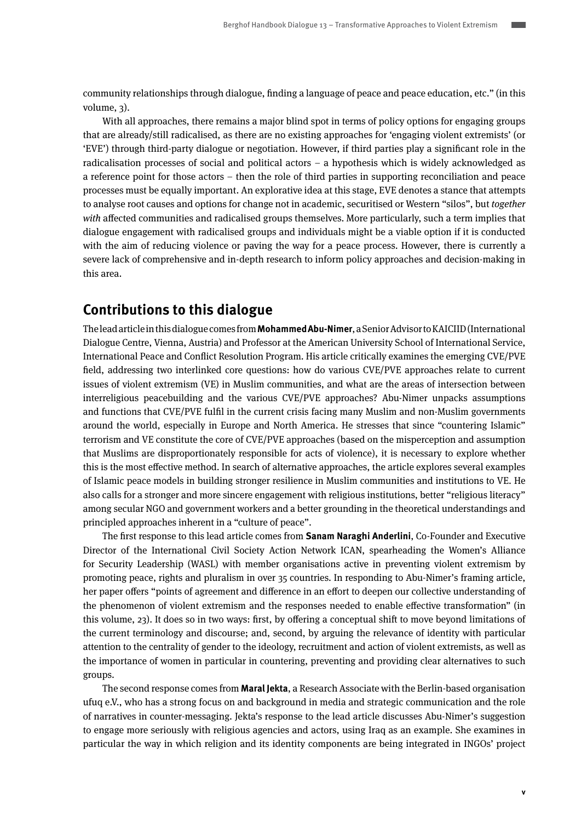community relationships through dialogue, finding a language of peace and peace education, etc." (in this volume, 3).

With all approaches, there remains a major blind spot in terms of policy options for engaging groups that are already/still radicalised, as there are no existing approaches for 'engaging violent extremists' (or 'EVE') through third-party dialogue or negotiation. However, if third parties play a significant role in the radicalisation processes of social and political actors – a hypothesis which is widely acknowledged as a reference point for those actors – then the role of third parties in supporting reconciliation and peace processes must be equally important. An explorative idea at this stage, EVE denotes a stance that attempts to analyse root causes and options for change not in academic, securitised or Western "silos", but together with affected communities and radicalised groups themselves. More particularly, such a term implies that dialogue engagement with radicalised groups and individuals might be a viable option if it is conducted with the aim of reducing violence or paving the way for a peace process. However, there is currently a severe lack of comprehensive and in-depth research to inform policy approaches and decision-making in this area.

#### **Contributions to this dialogue**

The lead article in this dialogue comes from **Mohammed Abu-Nimer**, a Senior Advisor to KAICIID (International Dialogue Centre, Vienna, Austria) and Professor at the American University School of International Service, International Peace and Conflict Resolution Program. His article critically examines the emerging CVE/PVE field, addressing two interlinked core questions: how do various CVE/PVE approaches relate to current issues of violent extremism (VE) in Muslim communities, and what are the areas of intersection between interreligious peacebuilding and the various CVE/PVE approaches? Abu-Nimer unpacks assumptions and functions that CVE/PVE fulfil in the current crisis facing many Muslim and non-Muslim governments around the world, especially in Europe and North America. He stresses that since "countering Islamic" terrorism and VE constitute the core of CVE/PVE approaches (based on the misperception and assumption that Muslims are disproportionately responsible for acts of violence), it is necessary to explore whether this is the most effective method. In search of alternative approaches, the article explores several examples of Islamic peace models in building stronger resilience in Muslim communities and institutions to VE. He also calls for a stronger and more sincere engagement with religious institutions, better "religious literacy" among secular NGO and government workers and a better grounding in the theoretical understandings and principled approaches inherent in a "culture of peace".

The first response to this lead article comes from **Sanam Naraghi Anderlini**, Co-Founder and Executive Director of the International Civil Society Action Network ICAN, spearheading the Women's Alliance for Security Leadership (WASL) with member organisations active in preventing violent extremism by promoting peace, rights and pluralism in over 35 countries. In responding to Abu-Nimer's framing article, her paper offers "points of agreement and difference in an effort to deepen our collective understanding of the phenomenon of violent extremism and the responses needed to enable effective transformation" (in this volume, 23). It does so in two ways: first, by offering a conceptual shift to move beyond limitations of the current terminology and discourse; and, second, by arguing the relevance of identity with particular attention to the centrality of gender to the ideology, recruitment and action of violent extremists, as well as the importance of women in particular in countering, preventing and providing clear alternatives to such groups.

The second response comes from **Maral Jekta**, a Research Associate with the Berlin-based organisation ufuq e.V., who has a strong focus on and background in media and strategic communication and the role of narratives in counter-messaging. Jekta's response to the lead article discusses Abu-Nimer's suggestion to engage more seriously with religious agencies and actors, using Iraq as an example. She examines in particular the way in which religion and its identity components are being integrated in INGOs' project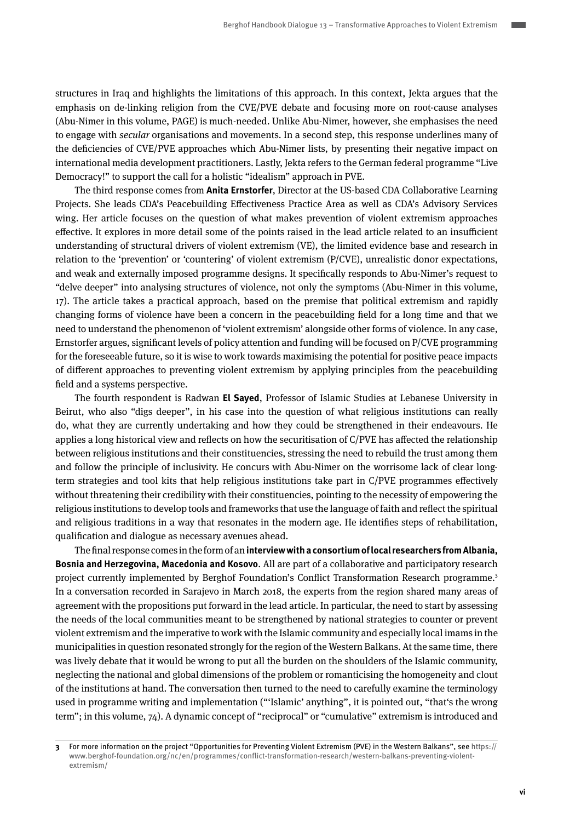structures in Iraq and highlights the limitations of this approach. In this context, Jekta argues that the emphasis on de-linking religion from the CVE/PVE debate and focusing more on root-cause analyses (Abu-Nimer in this volume, PAGE) is much-needed. Unlike Abu-Nimer, however, she emphasises the need to engage with secular organisations and movements. In a second step, this response underlines many of the deficiencies of CVE/PVE approaches which Abu-Nimer lists, by presenting their negative impact on international media development practitioners. Lastly, Jekta refers to the German federal programme "Live Democracy!" to support the call for a holistic "idealism" approach in PVE.

The third response comes from **Anita Ernstorfer**, Director at the US-based CDA Collaborative Learning Projects. She leads CDA's Peacebuilding Effectiveness Practice Area as well as CDA's Advisory Services wing. Her article focuses on the question of what makes prevention of violent extremism approaches effective. It explores in more detail some of the points raised in the lead article related to an insufficient understanding of structural drivers of violent extremism (VE), the limited evidence base and research in relation to the 'prevention' or 'countering' of violent extremism (P/CVE), unrealistic donor expectations, and weak and externally imposed programme designs. It specifically responds to Abu-Nimer's request to "delve deeper" into analysing structures of violence, not only the symptoms (Abu-Nimer in this volume, 17). The article takes a practical approach, based on the premise that political extremism and rapidly changing forms of violence have been a concern in the peacebuilding field for a long time and that we need to understand the phenomenon of 'violent extremism' alongside other forms of violence. In any case, Ernstorfer argues, significant levels of policy attention and funding will be focused on P/CVE programming for the foreseeable future, so it is wise to work towards maximising the potential for positive peace impacts of different approaches to preventing violent extremism by applying principles from the peacebuilding field and a systems perspective.

The fourth respondent is Radwan **El Sayed**, Professor of Islamic Studies at Lebanese University in Beirut, who also "digs deeper", in his case into the question of what religious institutions can really do, what they are currently undertaking and how they could be strengthened in their endeavours. He applies a long historical view and reflects on how the securitisation of C/PVE has affected the relationship between religious institutions and their constituencies, stressing the need to rebuild the trust among them and follow the principle of inclusivity. He concurs with Abu-Nimer on the worrisome lack of clear longterm strategies and tool kits that help religious institutions take part in C/PVE programmes effectively without threatening their credibility with their constituencies, pointing to the necessity of empowering the religious institutions to develop tools and frameworks that use the language of faith and reflect the spiritual and religious traditions in a way that resonates in the modern age. He identifies steps of rehabilitation, qualification and dialogue as necessary avenues ahead.

The final response comes in the form of an **interview with a consortium of local researchers from Albania, Bosnia and Herzegovina, Macedonia and Kosovo**. All are part of a collaborative and participatory research project currently implemented by Berghof Foundation's Conflict Transformation Research programme.<sup>3</sup> In a conversation recorded in Sarajevo in March 2018, the experts from the region shared many areas of agreement with the propositions put forward in the lead article. In particular, the need to start by assessing the needs of the local communities meant to be strengthened by national strategies to counter or prevent violent extremism and the imperative to work with the Islamic community and especially local imams in the municipalities in question resonated strongly for the region of the Western Balkans. At the same time, there was lively debate that it would be wrong to put all the burden on the shoulders of the Islamic community, neglecting the national and global dimensions of the problem or romanticising the homogeneity and clout of the institutions at hand. The conversation then turned to the need to carefully examine the terminology used in programme writing and implementation ("'Islamic' anything", it is pointed out, "that's the wrong term"; in this volume, 74). A dynamic concept of "reciprocal" or "cumulative" extremism is introduced and

**<sup>3</sup>** For more information on the project "Opportunities for Preventing Violent Extremism (PVE) in the Western Balkans", see [https://](https://www.berghof-foundation.org/nc/en/programmes/conflict-transformation-research/western) [www.berghof-foundation.org/nc/en/programmes/conflict-transformation-research/western-](https://www.berghof-foundation.org/nc/en/programmes/conflict-transformation-research/western)balkans-preventing-violentextremism/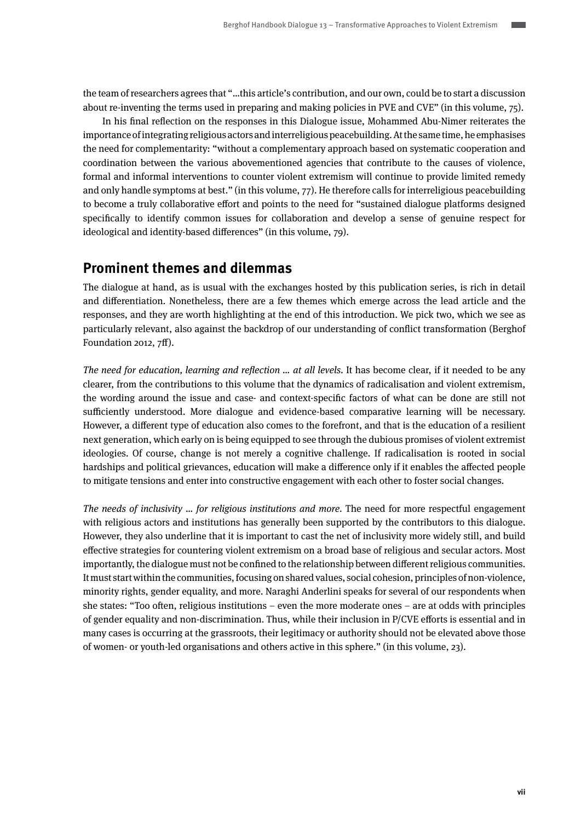the team of researchers agrees that "…this article's contribution, and our own, could be to start a discussion about re-inventing the terms used in preparing and making policies in PVE and CVE" (in this volume, 75).

In his final reflection on the responses in this Dialogue issue, Mohammed Abu-Nimer reiterates the importance of integrating religious actors and interreligious peacebuilding. At the same time, he emphasises the need for complementarity: "without a complementary approach based on systematic cooperation and coordination between the various abovementioned agencies that contribute to the causes of violence, formal and informal interventions to counter violent extremism will continue to provide limited remedy and only handle symptoms at best." (in this volume, 77). He therefore calls for interreligious peacebuilding to become a truly collaborative effort and points to the need for "sustained dialogue platforms designed specifically to identify common issues for collaboration and develop a sense of genuine respect for ideological and identity-based differences" (in this volume, 79).

#### **Prominent themes and dilemmas**

The dialogue at hand, as is usual with the exchanges hosted by this publication series, is rich in detail and differentiation. Nonetheless, there are a few themes which emerge across the lead article and the responses, and they are worth highlighting at the end of this introduction. We pick two, which we see as particularly relevant, also against the backdrop of our understanding of conflict transformation (Berghof Foundation 2012, 7ff).

The need for education, learning and reflection ... at all levels. It has become clear, if it needed to be any clearer, from the contributions to this volume that the dynamics of radicalisation and violent extremism, the wording around the issue and case- and context-specific factors of what can be done are still not sufficiently understood. More dialogue and evidence-based comparative learning will be necessary. However, a different type of education also comes to the forefront, and that is the education of a resilient next generation, which early on is being equipped to see through the dubious promises of violent extremist ideologies. Of course, change is not merely a cognitive challenge. If radicalisation is rooted in social hardships and political grievances, education will make a difference only if it enables the affected people to mitigate tensions and enter into constructive engagement with each other to foster social changes.

The needs of inclusivity … for religious institutions and more. The need for more respectful engagement with religious actors and institutions has generally been supported by the contributors to this dialogue. However, they also underline that it is important to cast the net of inclusivity more widely still, and build effective strategies for countering violent extremism on a broad base of religious and secular actors. Most importantly, the dialogue must not be confined to the relationship between different religious communities. It must start within the communities, focusing on shared values, social cohesion, principles of non-violence, minority rights, gender equality, and more. Naraghi Anderlini speaks for several of our respondents when she states: "Too often, religious institutions – even the more moderate ones – are at odds with principles of gender equality and non-discrimination. Thus, while their inclusion in P/CVE efforts is essential and in many cases is occurring at the grassroots, their legitimacy or authority should not be elevated above those of women- or youth-led organisations and others active in this sphere." (in this volume, 23).